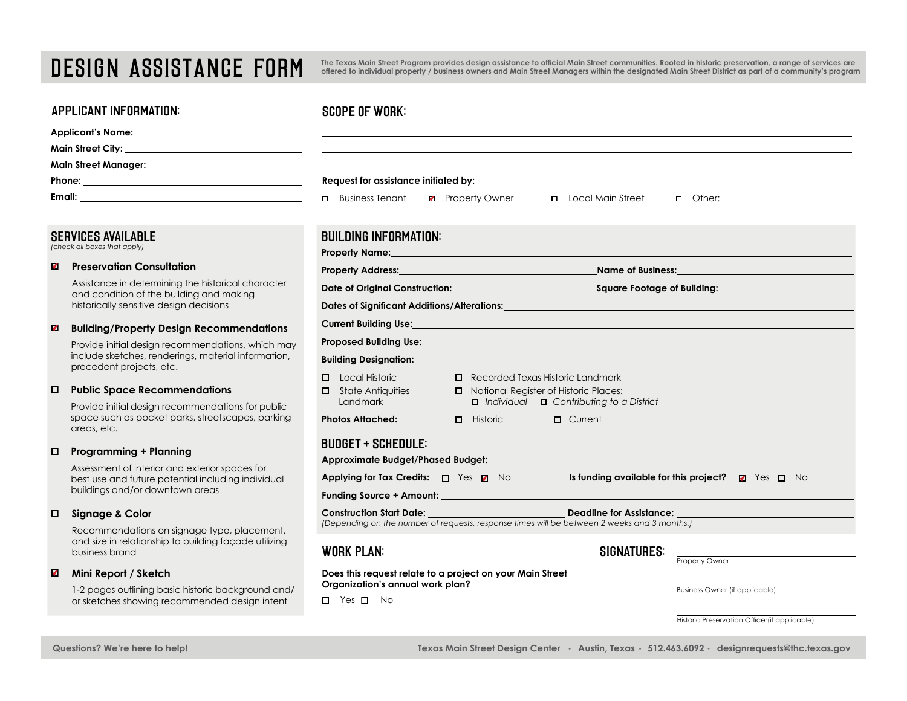# DESIGN ASSISTANCE FORM

applicant information:

**The Texas Main Street Program provides design assistance to official Main Street communities. Rooted in historic preservation, a range of services are offered to individual property / business owners and Main Street Managers within the designated Main Street District as part of a community's program** 

## scope of work:

| APPLICANT INFURMATION:                                                                                                               | SCUPE OF WURK:                                                                                                                                                                                                                                                     |  |  |  |
|--------------------------------------------------------------------------------------------------------------------------------------|--------------------------------------------------------------------------------------------------------------------------------------------------------------------------------------------------------------------------------------------------------------------|--|--|--|
|                                                                                                                                      |                                                                                                                                                                                                                                                                    |  |  |  |
|                                                                                                                                      |                                                                                                                                                                                                                                                                    |  |  |  |
|                                                                                                                                      |                                                                                                                                                                                                                                                                    |  |  |  |
|                                                                                                                                      | Request for assistance initiated by:                                                                                                                                                                                                                               |  |  |  |
|                                                                                                                                      | <b>D</b> Business Tenant<br><b>2</b> Property Owner<br><b>D</b> Local Main Street                                                                                                                                                                                  |  |  |  |
| <b>SERVICES AVAILABLE</b><br>(check all boxes that apply)                                                                            | <b>BUILDING INFORMATION:</b><br><b>Property Name:</b> The contract of the contract of the contract of the contract of the contract of the contract of the contract of the contract of the contract of the contract of the contract of the contract of the contract |  |  |  |
| <b>Preservation Consultation</b><br>Ø                                                                                                |                                                                                                                                                                                                                                                                    |  |  |  |
| Assistance in determining the historical character<br>and condition of the building and making                                       |                                                                                                                                                                                                                                                                    |  |  |  |
| historically sensitive design decisions                                                                                              | Dates of Significant Additions/Alterations: Note that the contract of the contract of Significant Additions of                                                                                                                                                     |  |  |  |
| ø<br><b>Building/Property Design Recommendations</b>                                                                                 | Current Building Use: <b>Example 2018</b> 2019 12:30 2019 2019 2020 2021 2022 2023 2024 2022 2023 2024 2022 2023 2024 20                                                                                                                                           |  |  |  |
| Provide initial design recommendations, which may<br>include sketches, renderings, material information,<br>precedent projects, etc. | Proposed Building Use: New York State of the Contract of the Contract of the Contract of the Contract of the Contract of the Contract of the Contract of the Contract of the Contract of the Contract of the Contract of the C<br><b>Building Designation:</b>     |  |  |  |
| O.<br><b>Public Space Recommendations</b><br>Provide initial design recommendations for public                                       | <b>D</b> Local Historic<br>Recorded Texas Historic Landmark<br>National Register of Historic Places:<br>$\Box$ State Antiquities<br>$\Box$ Individual $\Box$ Contributing to a District<br>Landmark                                                                |  |  |  |
| space such as pocket parks, streetscapes, parking<br>areas, etc.                                                                     | $\Box$ Historic $\Box$<br>$\Box$ Current<br><b>Photos Attached:</b>                                                                                                                                                                                                |  |  |  |
| <b>Programming + Planning</b><br>0<br>Assessment of interior and exterior spaces for                                                 | <b>BUDGET + SCHEDULE:</b>                                                                                                                                                                                                                                          |  |  |  |
| best use and future potential including individual<br>buildings and/or downtown areas                                                | Applying for Tax Credits: $\Box$ Yes 2 No<br>Is funding available for this project? $\Box$ Yes $\Box$ No                                                                                                                                                           |  |  |  |
| $\Box$<br><b>Signage &amp; Color</b>                                                                                                 | Deadline for Assistance:<br><b>Construction Start Date: Construction Start Date:</b><br>(Depending on the number of requests, response times will be between 2 weeks and 3 months.)                                                                                |  |  |  |
| Recommendations on signage type, placement,<br>and size in relationship to building facade utilizing<br>business brand               | <b>WORK PLAN:</b><br><b>SIGNATURES:</b><br>Property Owner                                                                                                                                                                                                          |  |  |  |
| Ø.<br>Mini Report / Sketch<br>1-2 pages outlining basic historic background and/                                                     | Does this request relate to a project on your Main Street<br>Organization's annual work plan?<br><b>Business Owner (if applicable)</b>                                                                                                                             |  |  |  |

D Yes D No

### Historic Preservation Officer(if applicable)

or sketches showing recommended design intent